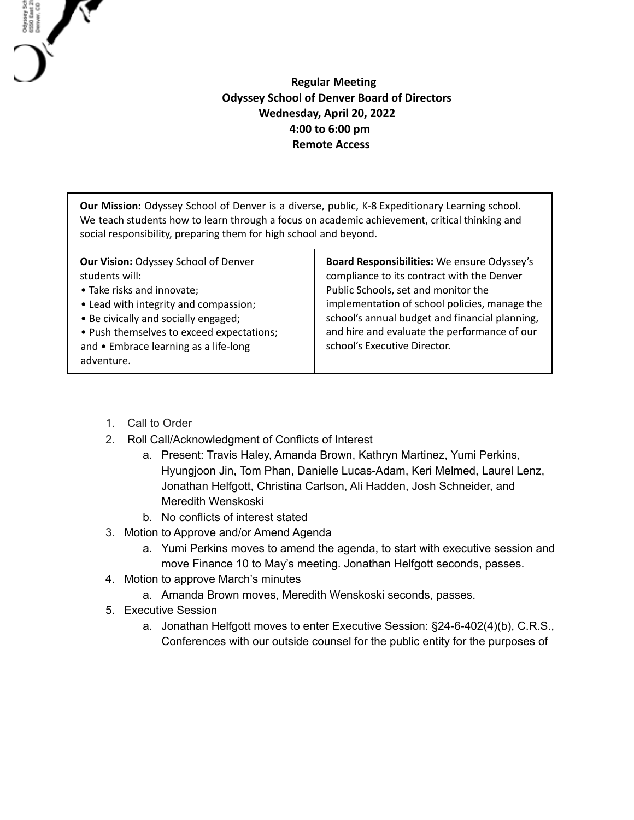## **Regular Meeting Odyssey School of Denver Board of Directors Wednesday, April 20, 2022 4:00 to 6:00 pm Remote Access**

**Our Mission:** Odyssey School of Denver is a diverse, public, K-8 Expeditionary Learning school. We teach students how to learn through a focus on academic achievement, critical thinking and social responsibility, preparing them for high school and beyond.

1. Call to Order

Odysey Sch<br>6550 East 21<br>Denver, CO

- 2. Roll Call/Acknowledgment of Conflicts of Interest
	- a. Present: Travis Haley, Amanda Brown, Kathryn Martinez, Yumi Perkins, Hyungjoon Jin, Tom Phan, Danielle Lucas-Adam, Keri Melmed, Laurel Lenz, Jonathan Helfgott, Christina Carlson, Ali Hadden, Josh Schneider, and Meredith Wenskoski
	- b. No conflicts of interest stated
- 3. Motion to Approve and/or Amend Agenda
	- a. Yumi Perkins moves to amend the agenda, to start with executive session and move Finance 10 to May's meeting. Jonathan Helfgott seconds, passes.
- 4. Motion to approve March's minutes
	- a. Amanda Brown moves, Meredith Wenskoski seconds, passes.
- 5. Executive Session
	- a. Jonathan Helfgott moves to enter Executive Session: §24-6-402(4)(b), C.R.S., Conferences with our outside counsel for the public entity for the purposes of